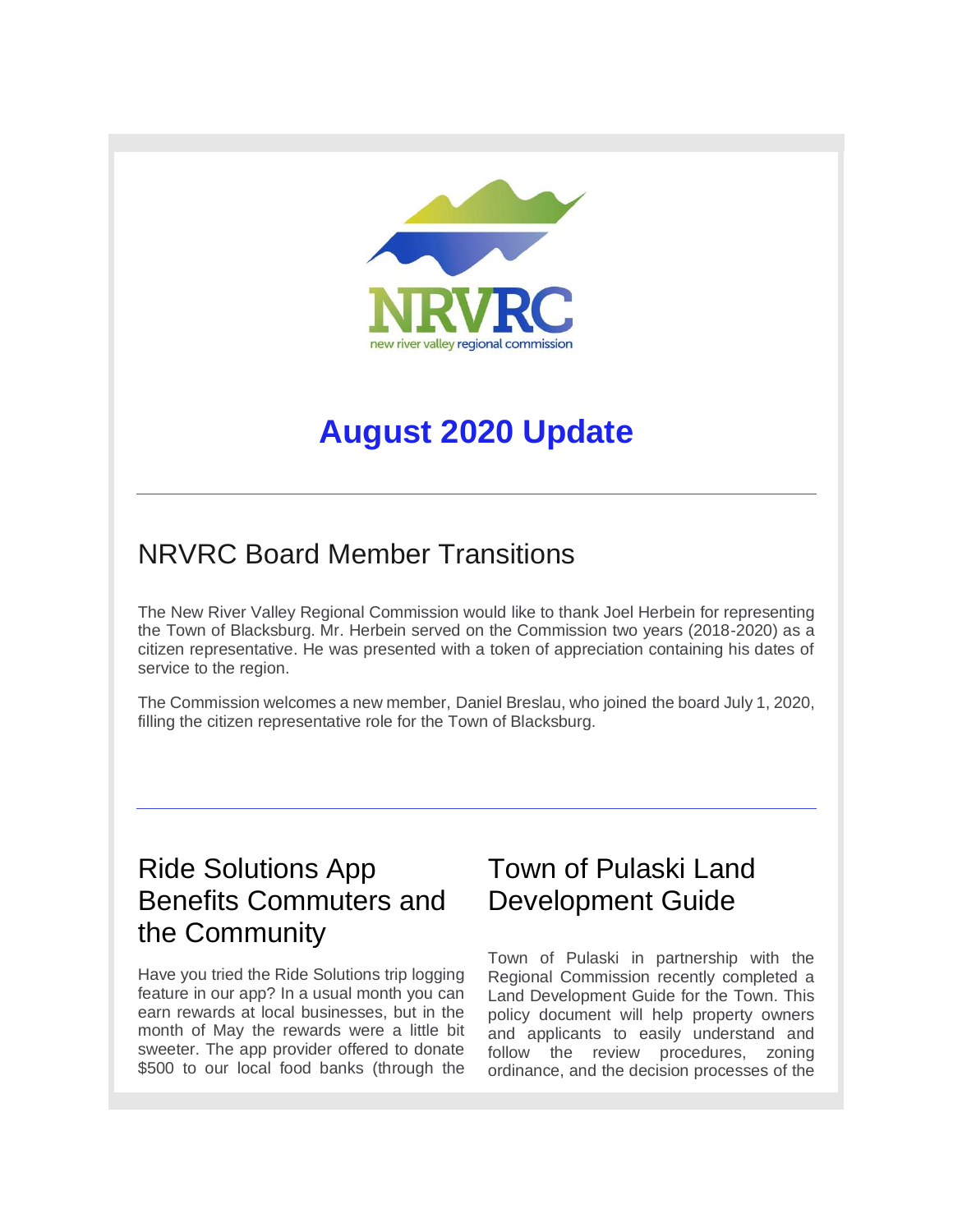

# **August 2020 Update**

### NRVRC Board Member Transitions

The New River Valley Regional Commission would like to thank Joel Herbein for representing the Town of Blacksburg. Mr. Herbein served on the Commission two years (2018-2020) as a citizen representative. He was presented with a token of appreciation containing his dates of service to the region.

The Commission welcomes a new member, Daniel Breslau, who joined the board July 1, 2020, filling the citizen representative role for the Town of Blacksburg.

# Ride Solutions App Benefits Commuters and the Community

Have you tried the Ride Solutions trip logging feature in our app? In a usual month you can earn rewards at local businesses, but in the month of May the rewards were a little bit sweeter. The app provider offered to donate \$500 to our local food banks (through the

### Town of Pulaski Land Development Guide

Town of Pulaski in partnership with the Regional Commission recently completed a Land Development Guide for the Town. This policy document will help property owners and applicants to easily understand and follow the review procedures, zoning ordinance, and the decision processes of the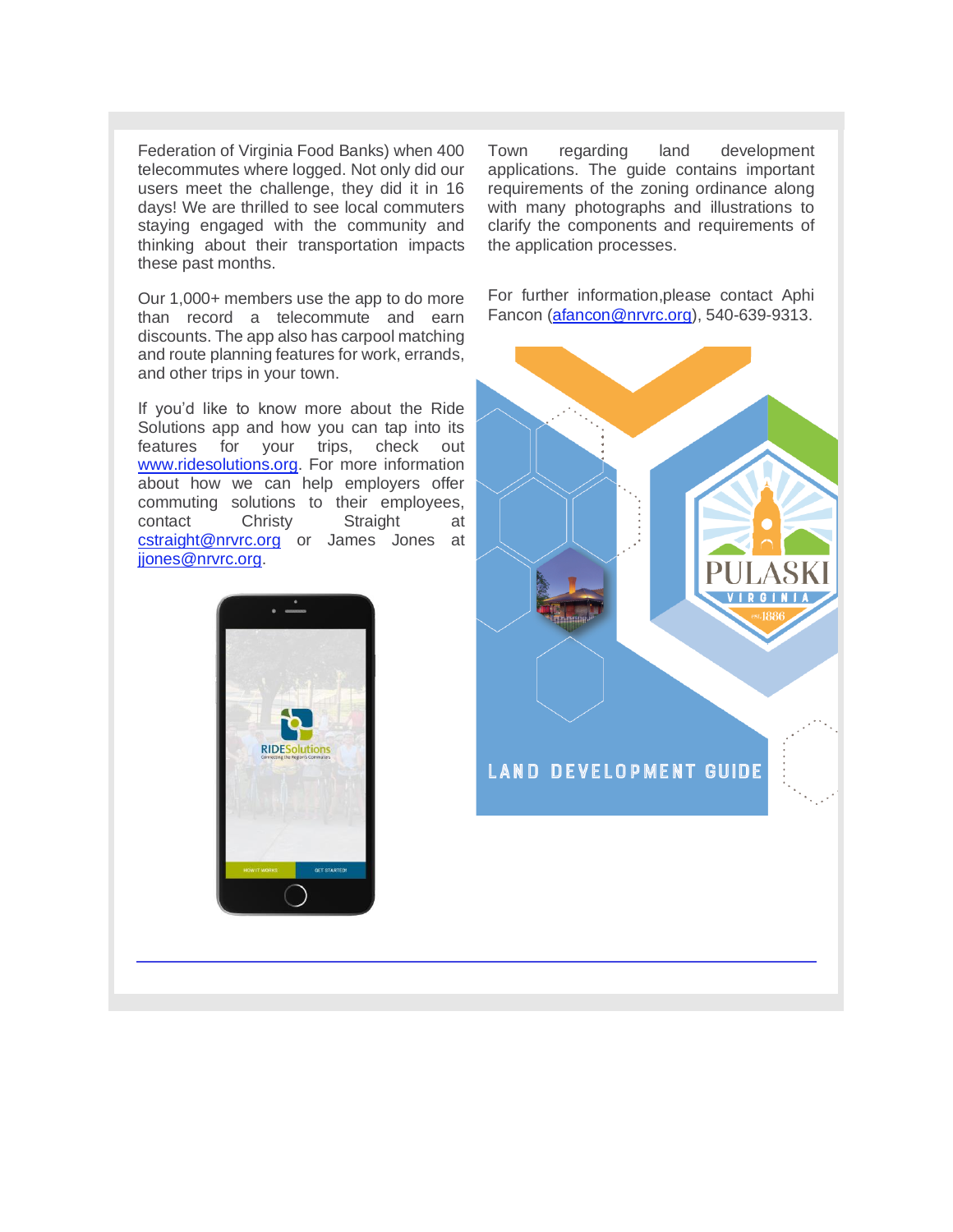Federation of Virginia Food Banks) when 400 telecommutes where logged. Not only did our users meet the challenge, they did it in 16 days! We are thrilled to see local commuters staying engaged with the community and thinking about their transportation impacts these past months.

Our 1,000+ members use the app to do more than record a telecommute and earn discounts. The app also has carpool matching and route planning features for work, errands, and other trips in your town.

If you'd like to know more about the Ride Solutions app and how you can tap into its features for your trips, check out [www.ridesolutions.org.](http://r20.rs6.net/tn.jsp?f=00118NREv3a0lDS0K-quLMwM-NP4XKJ1zpfGAh__PVkoLPJG4rzGuOuda6zl7MSDh3ENhmKI9VbfHr8mbzsi_PKjgsX7-WU_HTsICcRZizfuI3Nm32lhJyclx9DHIWEKe9cO2PMFf63wDBs6ZcwGGx2QQ==&c=AMk59Tj9f-GzNo1eJNKNFDdVdzN13bHIYFkwXBNHYhsln47uJenmbw==&ch=kFXmlYyhAoKJIZOc5SNUefBUW_QsP5Kp0uHmQ7MvkitZymF4HnH94A==) For more information about how we can help employers offer commuting solutions to their employees, contact Christy Straight at [cstraight@nrvrc.org](mailto:cstraight@nrvrc.org) or James Jones at [jjones@nrvrc.org.](mailto:jjones@nrvrc.org)



Town regarding land development applications. The guide contains important requirements of the zoning ordinance along with many photographs and illustrations to clarify the components and requirements of the application processes.

For further information,please contact Aphi Fancon [\(afancon@nrvrc.org\)](mailto:afancon@nrvrc.org), 540-639-9313.

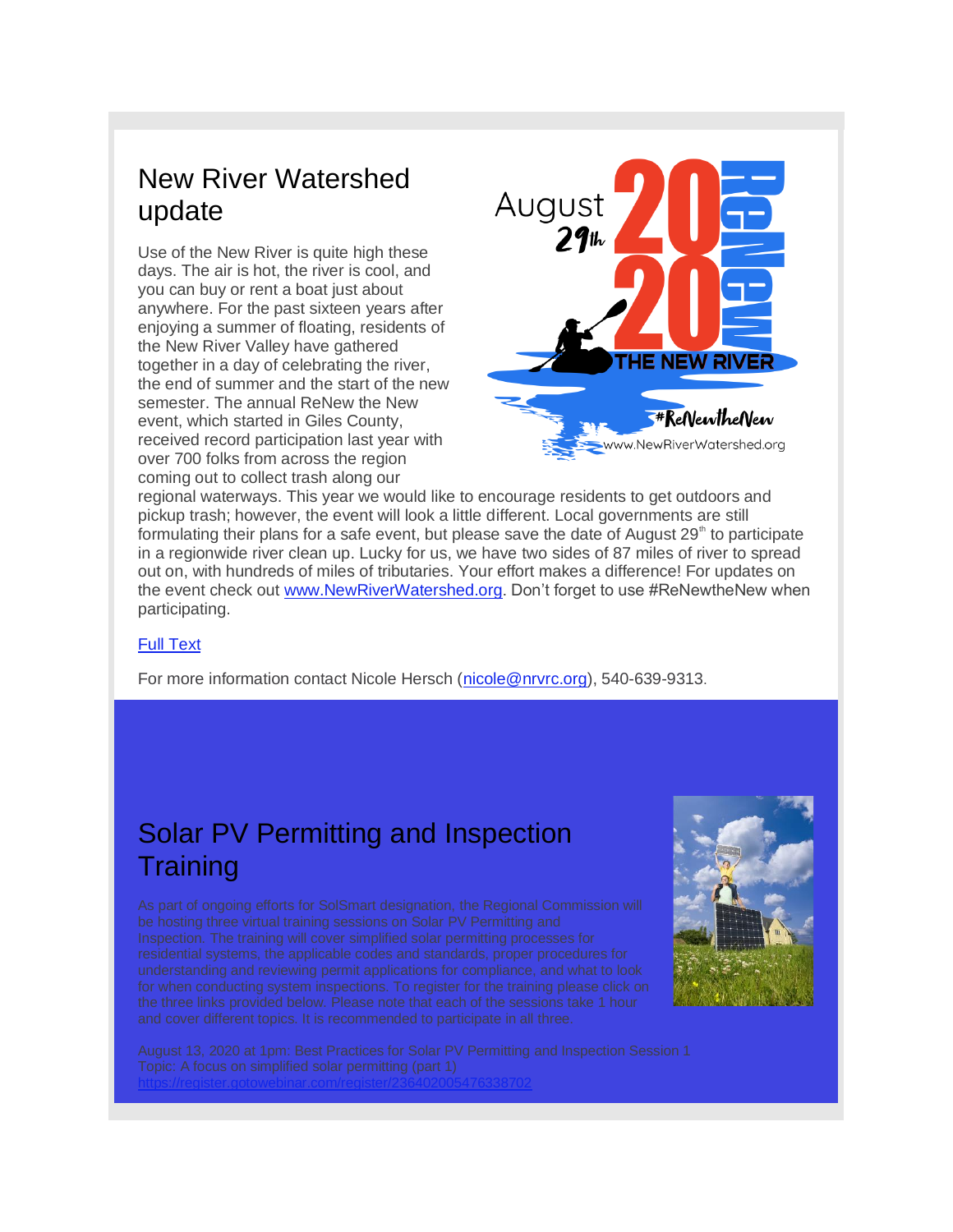# New River Watershed update

Use of the New River is quite high these days. The air is hot, the river is cool, and you can buy or rent a boat just about anywhere. For the past sixteen years after enjoying a summer of floating, residents of the New River Valley have gathered together in a day of celebrating the river, the end of summer and the start of the new semester. The annual ReNew the New event, which started in Giles County, received record participation last year with over 700 folks from across the region coming out to collect trash along our



regional waterways. This year we would like to encourage residents to get outdoors and pickup trash; however, the event will look a little different. Local governments are still formulating their plans for a safe event, but please save the date of August  $29<sup>th</sup>$  to participate in a regionwide river clean up. Lucky for us, we have two sides of 87 miles of river to spread out on, with hundreds of miles of tributaries. Your effort makes a difference! For updates on the event check out [www.NewRiverWatershed.org.](http://r20.rs6.net/tn.jsp?f=00118NREv3a0lDS0K-quLMwM-NP4XKJ1zpfGAh__PVkoLPJG4rzGuOuda6zl7MSDh3ExIYZE-QYiaippM0QypJlgvV_uV0xf-Z3zsa5G5jO2xGK-vegiSZ_MHw9gg3p1tMn3Av6r3dqgE8kr7oHzc4KJJaATzmgiPo5&c=AMk59Tj9f-GzNo1eJNKNFDdVdzN13bHIYFkwXBNHYhsln47uJenmbw==&ch=kFXmlYyhAoKJIZOc5SNUefBUW_QsP5Kp0uHmQ7MvkitZymF4HnH94A==) Don't forget to use #ReNewtheNew when participating.

#### [Full Text](http://r20.rs6.net/tn.jsp?f=00118NREv3a0lDS0K-quLMwM-NP4XKJ1zpfGAh__PVkoLPJG4rzGuOuda6zl7MSDh3E4uznaRt4TCYe_7GhIt72Pu4KaiM8g2n9fwK174Y_oktrOwEgLhaUKEt1yNzQvvajv8Y7JoDjMWwOmzKpZzgICTSmNCujjeU2gYhzNmE9HoQ=&c=AMk59Tj9f-GzNo1eJNKNFDdVdzN13bHIYFkwXBNHYhsln47uJenmbw==&ch=kFXmlYyhAoKJIZOc5SNUefBUW_QsP5Kp0uHmQ7MvkitZymF4HnH94A==)

For more information contact Nicole Hersch [\(nicole@nrvrc.org\)](mailto:nicole@nrvrc.org), 540-639-9313.

# Solar PV Permitting and Inspection **Training**